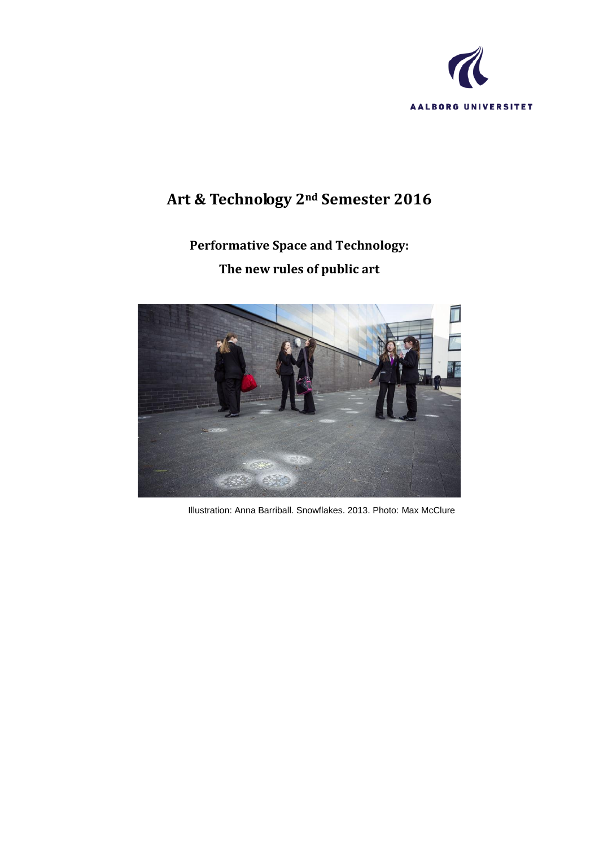

# **Art & Technology 2nd Semester 2016**

# **Performative Space and Technology: The new rules of public art**



Illustration: Anna Barriball. Snowflakes. 2013. Photo: Max McClure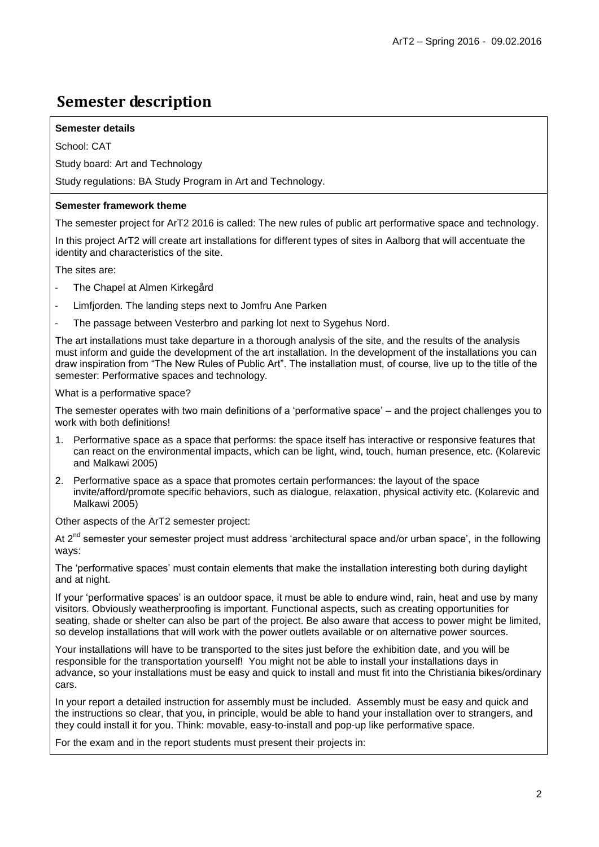## **Semester description**

#### **Semester details**

School: CAT

Study board: Art and Technology

Study regulations: BA Study Program in Art and Technology.

#### **Semester framework theme**

The semester project for ArT2 2016 is called: The new rules of public art performative space and technology.

In this project ArT2 will create art installations for different types of sites in Aalborg that will accentuate the identity and characteristics of the site.

The sites are:

- The Chapel at Almen Kirkegård
- Limfjorden. The landing steps next to Jomfru Ane Parken
- The passage between Vesterbro and parking lot next to Sygehus Nord.

The art installations must take departure in a thorough analysis of the site, and the results of the analysis must inform and guide the development of the art installation. In the development of the installations you can draw inspiration from "The New Rules of Public Art". The installation must, of course, live up to the title of the semester: Performative spaces and technology.

What is a performative space?

The semester operates with two main definitions of a "performative space" – and the project challenges you to work with both definitions!

- 1. Performative space as a space that performs: the space itself has interactive or responsive features that can react on the environmental impacts, which can be light, wind, touch, human presence, etc. (Kolarevic and Malkawi 2005)
- 2. Performative space as a space that promotes certain performances: the layout of the space invite/afford/promote specific behaviors, such as dialogue, relaxation, physical activity etc. (Kolarevic and Malkawi 2005)

Other aspects of the ArT2 semester project:

At  $2^{nd}$  semester your semester project must address 'architectural space and/or urban space', in the following ways:

The 'performative spaces' must contain elements that make the installation interesting both during daylight and at night.

If your "performative spaces" is an outdoor space, it must be able to endure wind, rain, heat and use by many visitors. Obviously weatherproofing is important. Functional aspects, such as creating opportunities for seating, shade or shelter can also be part of the project. Be also aware that access to power might be limited, so develop installations that will work with the power outlets available or on alternative power sources.

Your installations will have to be transported to the sites just before the exhibition date, and you will be responsible for the transportation yourself! You might not be able to install your installations days in advance, so your installations must be easy and quick to install and must fit into the Christiania bikes/ordinary cars.

In your report a detailed instruction for assembly must be included. Assembly must be easy and quick and the instructions so clear, that you, in principle, would be able to hand your installation over to strangers, and they could install it for you. Think: movable, easy-to-install and pop-up like performative space.

For the exam and in the report students must present their projects in: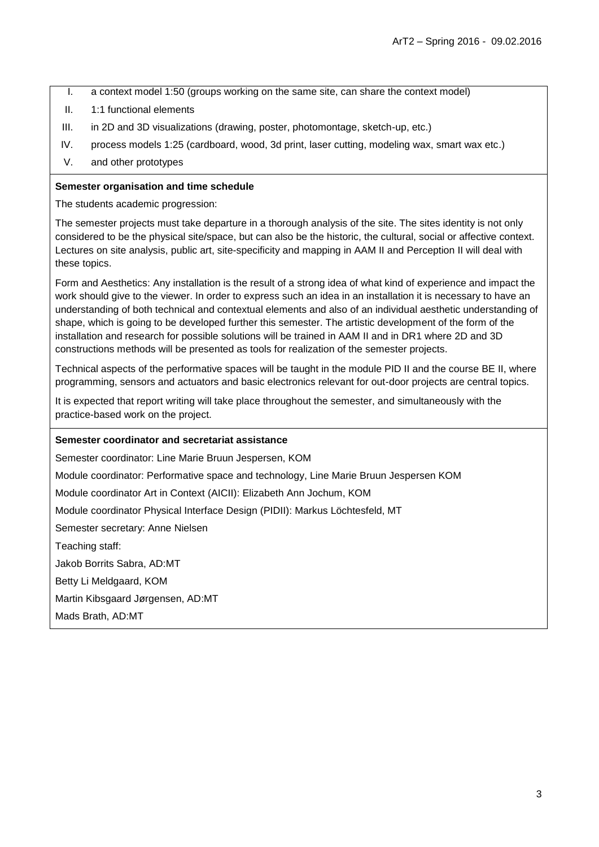- I. a context model 1:50 (groups working on the same site, can share the context model)
- II. 1:1 functional elements
- III. in 2D and 3D visualizations (drawing, poster, photomontage, sketch-up, etc.)
- IV. process models 1:25 (cardboard, wood, 3d print, laser cutting, modeling wax, smart wax etc.)
- V. and other prototypes

#### **Semester organisation and time schedule**

The students academic progression:

The semester projects must take departure in a thorough analysis of the site. The sites identity is not only considered to be the physical site/space, but can also be the historic, the cultural, social or affective context. Lectures on site analysis, public art, site-specificity and mapping in AAM II and Perception II will deal with these topics.

Form and Aesthetics: Any installation is the result of a strong idea of what kind of experience and impact the work should give to the viewer. In order to express such an idea in an installation it is necessary to have an understanding of both technical and contextual elements and also of an individual aesthetic understanding of shape, which is going to be developed further this semester. The artistic development of the form of the installation and research for possible solutions will be trained in AAM II and in DR1 where 2D and 3D constructions methods will be presented as tools for realization of the semester projects.

Technical aspects of the performative spaces will be taught in the module PID II and the course BE II, where programming, sensors and actuators and basic electronics relevant for out-door projects are central topics.

It is expected that report writing will take place throughout the semester, and simultaneously with the practice-based work on the project.

#### **Semester coordinator and secretariat assistance**

Semester coordinator: Line Marie Bruun Jespersen, KOM

Module coordinator: Performative space and technology, Line Marie Bruun Jespersen KOM

Module coordinator Art in Context (AICII): Elizabeth Ann Jochum, KOM

Module coordinator Physical Interface Design (PIDII): Markus Löchtesfeld, MT

Semester secretary: Anne Nielsen

Teaching staff:

Jakob Borrits Sabra, AD:MT

Betty Li Meldgaard, KOM

Martin Kibsgaard Jørgensen, AD:MT

Mads Brath, AD:MT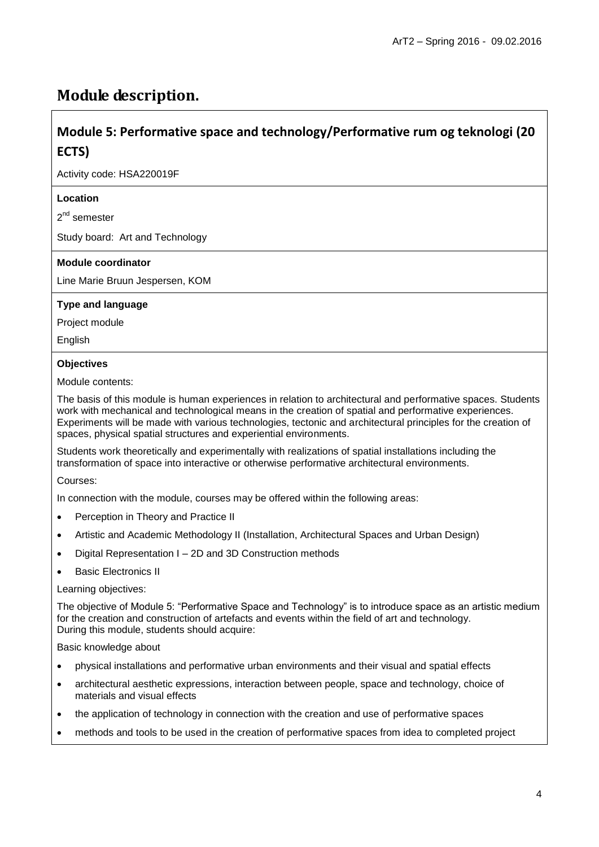## **Module description.**

## **Module 5: Performative space and technology/Performative rum og teknologi (20 ECTS)**

Activity code: HSA220019F

#### **Location**

2<sup>nd</sup> semester

Study board: Art and Technology

#### **Module coordinator**

Line Marie Bruun Jespersen, KOM

#### **Type and language**

Project module

English

#### **Objectives**

Module contents:

The basis of this module is human experiences in relation to architectural and performative spaces. Students work with mechanical and technological means in the creation of spatial and performative experiences. Experiments will be made with various technologies, tectonic and architectural principles for the creation of spaces, physical spatial structures and experiential environments.

Students work theoretically and experimentally with realizations of spatial installations including the transformation of space into interactive or otherwise performative architectural environments.

Courses:

In connection with the module, courses may be offered within the following areas:

- Perception in Theory and Practice II
- Artistic and Academic Methodology II (Installation, Architectural Spaces and Urban Design)
- Digital Representation I 2D and 3D Construction methods
- Basic Electronics II

#### Learning objectives:

The objective of Module 5: "Performative Space and Technology" is to introduce space as an artistic medium for the creation and construction of artefacts and events within the field of art and technology. During this module, students should acquire:

Basic knowledge about

- physical installations and performative urban environments and their visual and spatial effects
- architectural aesthetic expressions, interaction between people, space and technology, choice of materials and visual effects
- the application of technology in connection with the creation and use of performative spaces
- methods and tools to be used in the creation of performative spaces from idea to completed project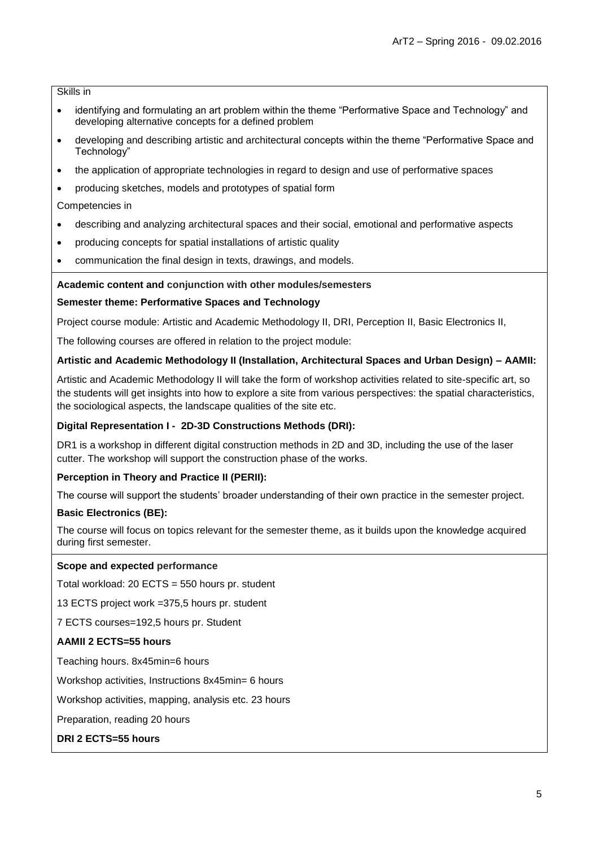Skills in

- identifying and formulating an art problem within the theme "Performative Space and Technology" and developing alternative concepts for a defined problem
- developing and describing artistic and architectural concepts within the theme "Performative Space and Technology"
- the application of appropriate technologies in regard to design and use of performative spaces
- producing sketches, models and prototypes of spatial form

#### Competencies in

- describing and analyzing architectural spaces and their social, emotional and performative aspects
- producing concepts for spatial installations of artistic quality
- communication the final design in texts, drawings, and models.

#### **Academic content and conjunction with other modules/semesters**

#### **Semester theme: Performative Spaces and Technology**

Project course module: Artistic and Academic Methodology II, DRI, Perception II, Basic Electronics II,

The following courses are offered in relation to the project module:

#### **Artistic and Academic Methodology II (Installation, Architectural Spaces and Urban Design) – AAMII:**

Artistic and Academic Methodology II will take the form of workshop activities related to site-specific art, so the students will get insights into how to explore a site from various perspectives: the spatial characteristics, the sociological aspects, the landscape qualities of the site etc.

#### **Digital Representation I - 2D-3D Constructions Methods (DRI):**

DR1 is a workshop in different digital construction methods in 2D and 3D, including the use of the laser cutter. The workshop will support the construction phase of the works.

#### **Perception in Theory and Practice II (PERII):**

The course will support the students" broader understanding of their own practice in the semester project.

#### **Basic Electronics (BE):**

The course will focus on topics relevant for the semester theme, as it builds upon the knowledge acquired during first semester.

#### **Scope and expected performance**

Total workload: 20 ECTS = 550 hours pr. student

13 ECTS project work =375,5 hours pr. student

7 ECTS courses=192,5 hours pr. Student

#### **AAMII 2 ECTS=55 hours**

Teaching hours. 8x45min=6 hours

Workshop activities, Instructions 8x45min= 6 hours

Workshop activities, mapping, analysis etc. 23 hours

Preparation, reading 20 hours

**DRI 2 ECTS=55 hours**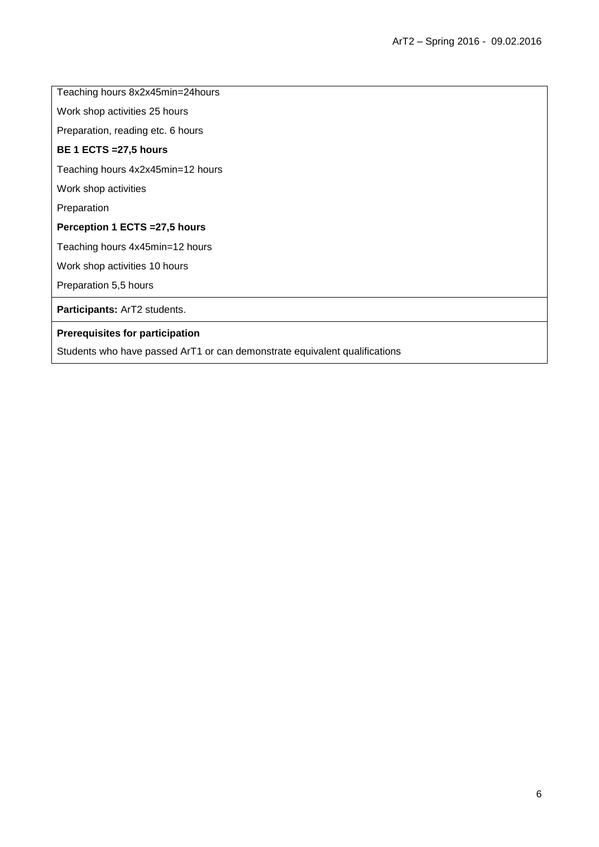Teaching hours 8x2x45min=24hours

Work shop activities 25 hours

Preparation, reading etc. 6 hours

#### **BE 1 ECTS =27,5 hours**

Teaching hours 4x2x45min=12 hours

Work shop activities

Preparation

#### **Perception 1 ECTS =27,5 hours**

Teaching hours 4x45min=12 hours

Work shop activities 10 hours

Preparation 5,5 hours

**Participants:** ArT2 students.

#### **Prerequisites for participation**

Students who have passed ArT1 or can demonstrate equivalent qualifications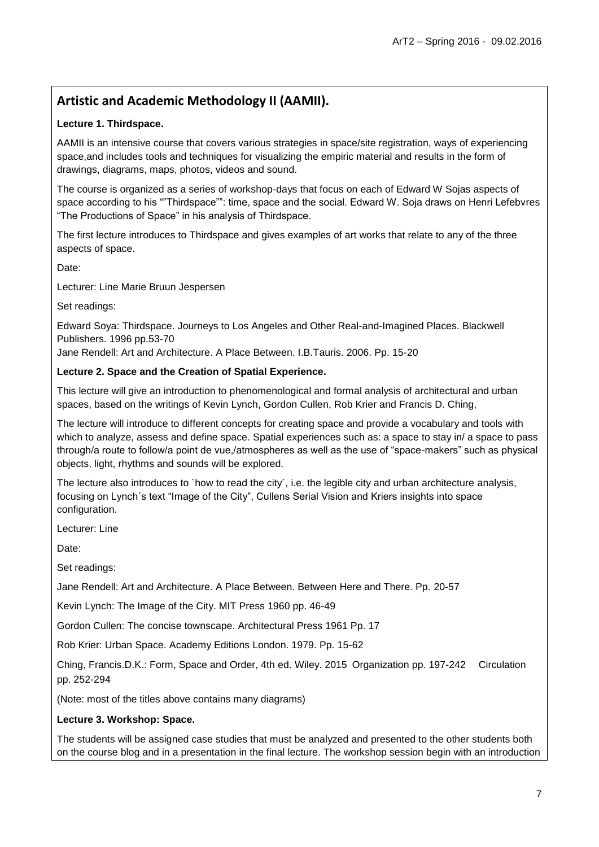## **Artistic and Academic Methodology II (AAMII).**

#### **Lecture 1. Thirdspace.**

AAMII is an intensive course that covers various strategies in space/site registration, ways of experiencing space,and includes tools and techniques for visualizing the empiric material and results in the form of drawings, diagrams, maps, photos, videos and sound.

The course is organized as a series of workshop-days that focus on each of Edward W Sojas aspects of space according to his ""Thirdspace"": time, space and the social. Edward W. Soja draws on Henri Lefebvres "The Productions of Space" in his analysis of Thirdspace.

The first lecture introduces to Thirdspace and gives examples of art works that relate to any of the three aspects of space.

Date:

Lecturer: Line Marie Bruun Jespersen

Set readings:

Edward Soya: Thirdspace. Journeys to Los Angeles and Other Real-and-Imagined Places. Blackwell Publishers. 1996 pp.53-70

Jane Rendell: Art and Architecture. A Place Between. I.B.Tauris. 2006. Pp. 15-20

#### **Lecture 2. Space and the Creation of Spatial Experience.**

This lecture will give an introduction to phenomenological and formal analysis of architectural and urban spaces, based on the writings of Kevin Lynch, Gordon Cullen, Rob Krier and Francis D. Ching,

The lecture will introduce to different concepts for creating space and provide a vocabulary and tools with which to analyze, assess and define space. Spatial experiences such as: a space to stay in/ a space to pass through/a route to follow/a point de vue,/atmospheres as well as the use of "space-makers" such as physical objects, light, rhythms and sounds will be explored.

The lecture also introduces to ´how to read the city´, i.e. the legible city and urban architecture analysis, focusing on Lynch´s text "Image of the City", Cullens Serial Vision and Kriers insights into space configuration.

Lecturer: Line

Date:

Set readings:

Jane Rendell: Art and Architecture. A Place Between. Between Here and There. Pp. 20-57

Kevin Lynch: The Image of the City. MIT Press 1960 pp. 46-49

Gordon Cullen: The concise townscape. Architectural Press 1961 Pp. 17

Rob Krier: Urban Space. Academy Editions London. 1979. Pp. 15-62

Ching, Francis.D.K.: Form, Space and Order, 4th ed. Wiley. 2015 Organization pp. 197-242 Circulation pp. 252-294

(Note: most of the titles above contains many diagrams)

#### **Lecture 3. Workshop: Space.**

The students will be assigned case studies that must be analyzed and presented to the other students both on the course blog and in a presentation in the final lecture. The workshop session begin with an introduction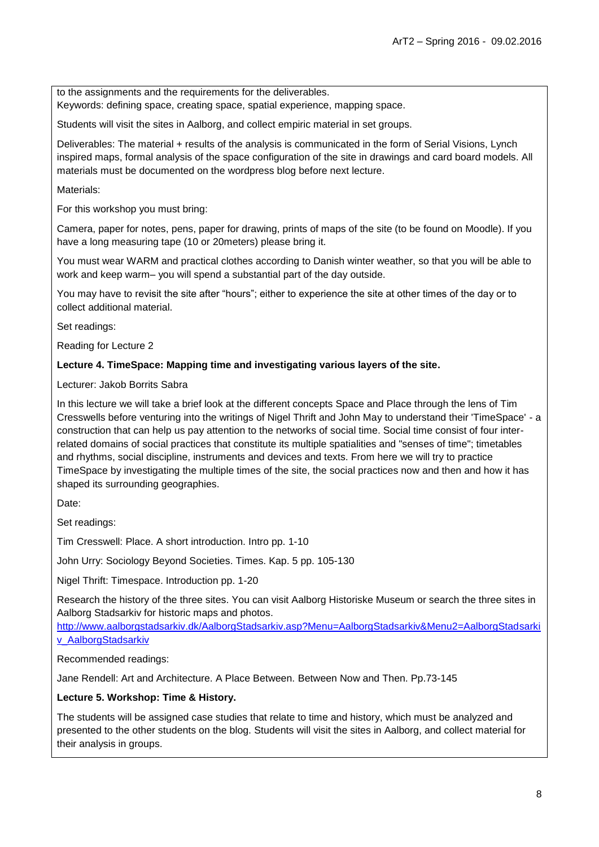to the assignments and the requirements for the deliverables.

Keywords: defining space, creating space, spatial experience, mapping space.

Students will visit the sites in Aalborg, and collect empiric material in set groups.

Deliverables: The material + results of the analysis is communicated in the form of Serial Visions, Lynch inspired maps, formal analysis of the space configuration of the site in drawings and card board models. All materials must be documented on the wordpress blog before next lecture.

Materials:

For this workshop you must bring:

Camera, paper for notes, pens, paper for drawing, prints of maps of the site (to be found on Moodle). If you have a long measuring tape (10 or 20meters) please bring it.

You must wear WARM and practical clothes according to Danish winter weather, so that you will be able to work and keep warm– you will spend a substantial part of the day outside.

You may have to revisit the site after "hours"; either to experience the site at other times of the day or to collect additional material.

Set readings:

Reading for Lecture 2

#### **Lecture 4. TimeSpace: Mapping time and investigating various layers of the site.**

Lecturer: Jakob Borrits Sabra

In this lecture we will take a brief look at the different concepts Space and Place through the lens of Tim Cresswells before venturing into the writings of Nigel Thrift and John May to understand their 'TimeSpace' - a construction that can help us pay attention to the networks of social time. Social time consist of four interrelated domains of social practices that constitute its multiple spatialities and "senses of time"; timetables and rhythms, social discipline, instruments and devices and texts. From here we will try to practice TimeSpace by investigating the multiple times of the site, the social practices now and then and how it has shaped its surrounding geographies.

Date:

Set readings:

Tim Cresswell: Place. A short introduction. Intro pp. 1-10

John Urry: Sociology Beyond Societies. Times. Kap. 5 pp. 105-130

Nigel Thrift: Timespace. Introduction pp. 1-20

Research the history of the three sites. You can visit Aalborg Historiske Museum or search the three sites in Aalborg Stadsarkiv for historic maps and photos.

[http://www.aalborgstadsarkiv.dk/AalborgStadsarkiv.asp?Menu=AalborgStadsarkiv&Menu2=AalborgStadsarki](http://www.aalborgstadsarkiv.dk/AalborgStadsarkiv.asp?Menu=AalborgStadsarkiv&Menu2=AalborgStadsarkiv_AalborgStadsarkiv) [v\\_AalborgStadsarkiv](http://www.aalborgstadsarkiv.dk/AalborgStadsarkiv.asp?Menu=AalborgStadsarkiv&Menu2=AalborgStadsarkiv_AalborgStadsarkiv)

Recommended readings:

Jane Rendell: Art and Architecture. A Place Between. Between Now and Then. Pp.73-145

#### **Lecture 5. Workshop: Time & History.**

The students will be assigned case studies that relate to time and history, which must be analyzed and presented to the other students on the blog. Students will visit the sites in Aalborg, and collect material for their analysis in groups.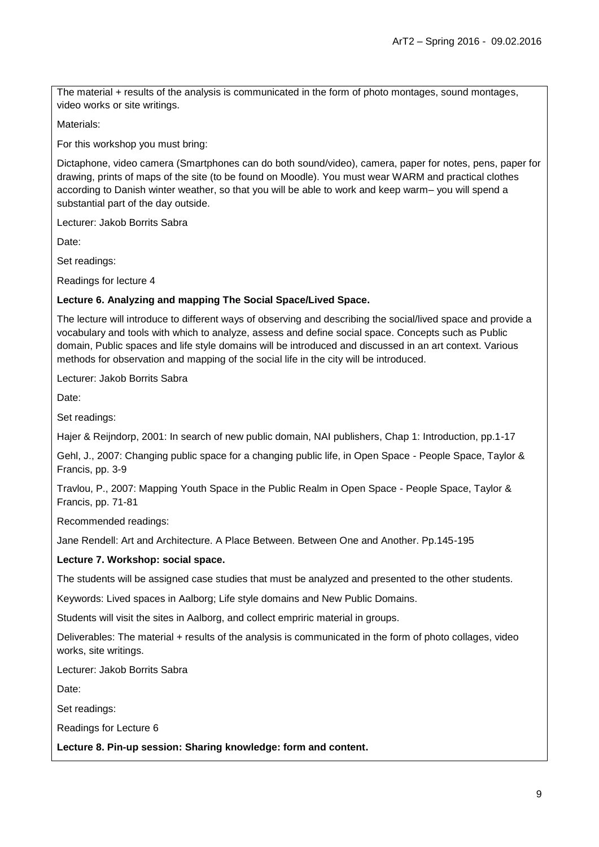The material + results of the analysis is communicated in the form of photo montages, sound montages, video works or site writings.

Materials:

For this workshop you must bring:

Dictaphone, video camera (Smartphones can do both sound/video), camera, paper for notes, pens, paper for drawing, prints of maps of the site (to be found on Moodle). You must wear WARM and practical clothes according to Danish winter weather, so that you will be able to work and keep warm– you will spend a substantial part of the day outside.

Lecturer: Jakob Borrits Sabra

Date:

Set readings:

Readings for lecture 4

#### **Lecture 6. Analyzing and mapping The Social Space/Lived Space.**

The lecture will introduce to different ways of observing and describing the social/lived space and provide a vocabulary and tools with which to analyze, assess and define social space. Concepts such as Public domain, Public spaces and life style domains will be introduced and discussed in an art context. Various methods for observation and mapping of the social life in the city will be introduced.

Lecturer: Jakob Borrits Sabra

Date:

Set readings:

Hajer & Reijndorp, 2001: In search of new public domain, NAI publishers, Chap 1: Introduction, pp.1-17

Gehl, J., 2007: Changing public space for a changing public life, in Open Space - People Space, Taylor & Francis, pp. 3-9

Travlou, P., 2007: Mapping Youth Space in the Public Realm in Open Space - People Space, Taylor & Francis, pp. 71-81

Recommended readings:

Jane Rendell: Art and Architecture. A Place Between. Between One and Another. Pp.145-195

#### **Lecture 7. Workshop: social space.**

The students will be assigned case studies that must be analyzed and presented to the other students.

Keywords: Lived spaces in Aalborg; Life style domains and New Public Domains.

Students will visit the sites in Aalborg, and collect empriric material in groups.

Deliverables: The material + results of the analysis is communicated in the form of photo collages, video works, site writings.

Lecturer: Jakob Borrits Sabra

Date:

Set readings:

Readings for Lecture 6

**Lecture 8. Pin-up session: Sharing knowledge: form and content.**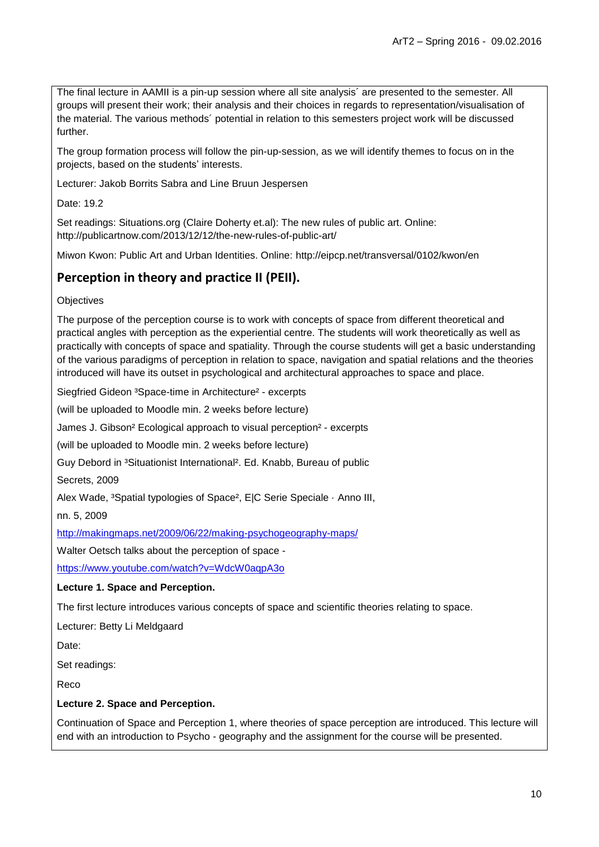The final lecture in AAMII is a pin-up session where all site analysis´ are presented to the semester. All groups will present their work; their analysis and their choices in regards to representation/visualisation of the material. The various methods´ potential in relation to this semesters project work will be discussed further.

The group formation process will follow the pin-up-session, as we will identify themes to focus on in the projects, based on the students" interests.

Lecturer: Jakob Borrits Sabra and Line Bruun Jespersen

Date: 19.2

Set readings: Situations.org (Claire Doherty et.al): The new rules of public art. Online: http://publicartnow.com/2013/12/12/the-new-rules-of-public-art/

Miwon Kwon: Public Art and Urban Identities. Online: http://eipcp.net/transversal/0102/kwon/en

## **Perception in theory and practice II (PEII).**

**Objectives** 

The purpose of the perception course is to work with concepts of space from different theoretical and practical angles with perception as the experiential centre. The students will work theoretically as well as practically with concepts of space and spatiality. Through the course students will get a basic understanding of the various paradigms of perception in relation to space, navigation and spatial relations and the theories introduced will have its outset in psychological and architectural approaches to space and place.

Siegfried Gideon <sup>3</sup>Space-time in Architecture<sup>2</sup> - excerpts

(will be uploaded to Moodle min. 2 weeks before lecture)

James J. Gibson² Ecological approach to visual perception² - excerpts

(will be uploaded to Moodle min. 2 weeks before lecture)

Guy Debord in <sup>3</sup>Situationist International<sup>2</sup>. Ed. Knabb, Bureau of public

Secrets, 2009

Alex Wade, <sup>3</sup>Spatial typologies of Space<sup>2</sup>, E|C Serie Speciale · Anno III,

nn. 5, 2009

<http://makingmaps.net/2009/06/22/making-psychogeography-maps/>

Walter Oetsch talks about the perception of space -

<https://www.youtube.com/watch?v=WdcW0aqpA3o>

#### **Lecture 1. Space and Perception.**

The first lecture introduces various concepts of space and scientific theories relating to space.

Lecturer: Betty Li Meldgaard

Date:

Set readings:

Reco

#### **Lecture 2. Space and Perception.**

Continuation of Space and Perception 1, where theories of space perception are introduced. This lecture will end with an introduction to Psycho - geography and the assignment for the course will be presented.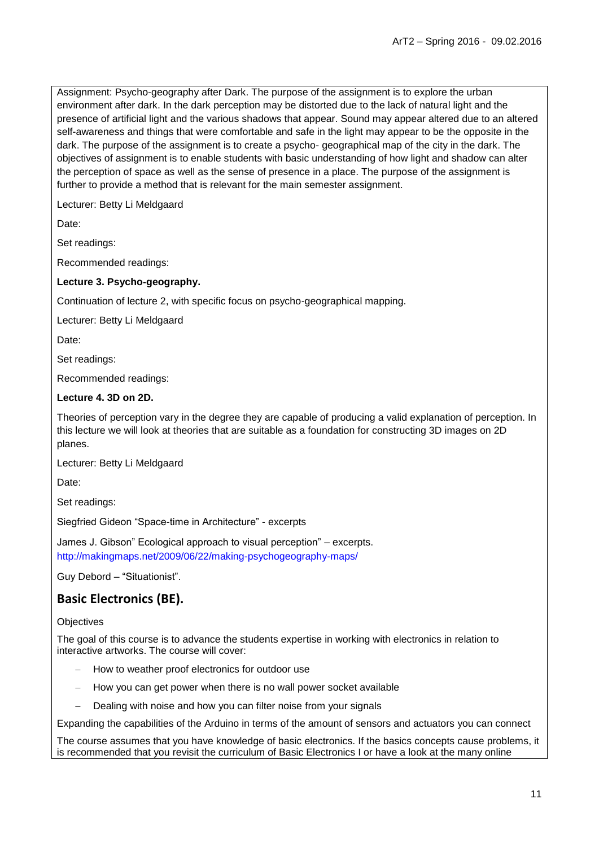Assignment: Psycho-geography after Dark. The purpose of the assignment is to explore the urban environment after dark. In the dark perception may be distorted due to the lack of natural light and the presence of artificial light and the various shadows that appear. Sound may appear altered due to an altered self-awareness and things that were comfortable and safe in the light may appear to be the opposite in the dark. The purpose of the assignment is to create a psycho- geographical map of the city in the dark. The objectives of assignment is to enable students with basic understanding of how light and shadow can alter the perception of space as well as the sense of presence in a place. The purpose of the assignment is further to provide a method that is relevant for the main semester assignment.

Lecturer: Betty Li Meldgaard

Date:

Set readings:

Recommended readings:

#### **Lecture 3. Psycho-geography.**

Continuation of lecture 2, with specific focus on psycho-geographical mapping.

Lecturer: Betty Li Meldgaard

Date:

Set readings:

Recommended readings:

#### **Lecture 4. 3D on 2D.**

Theories of perception vary in the degree they are capable of producing a valid explanation of perception. In this lecture we will look at theories that are suitable as a foundation for constructing 3D images on 2D planes.

Lecturer: Betty Li Meldgaard

Date:

Set readings:

Siegfried Gideon "Space-time in Architecture" - excerpts

James J. Gibson" Ecological approach to visual perception" – excerpts. http://makingmaps.net/2009/06/22/making-psychogeography-maps/

Guy Debord – "Situationist".

### **Basic Electronics (BE).**

#### **Objectives**

The goal of this course is to advance the students expertise in working with electronics in relation to interactive artworks. The course will cover:

- How to weather proof electronics for outdoor use
- How you can get power when there is no wall power socket available
- Dealing with noise and how you can filter noise from your signals

Expanding the capabilities of the Arduino in terms of the amount of sensors and actuators you can connect

The course assumes that you have knowledge of basic electronics. If the basics concepts cause problems, it is recommended that you revisit the curriculum of Basic Electronics I or have a look at the many online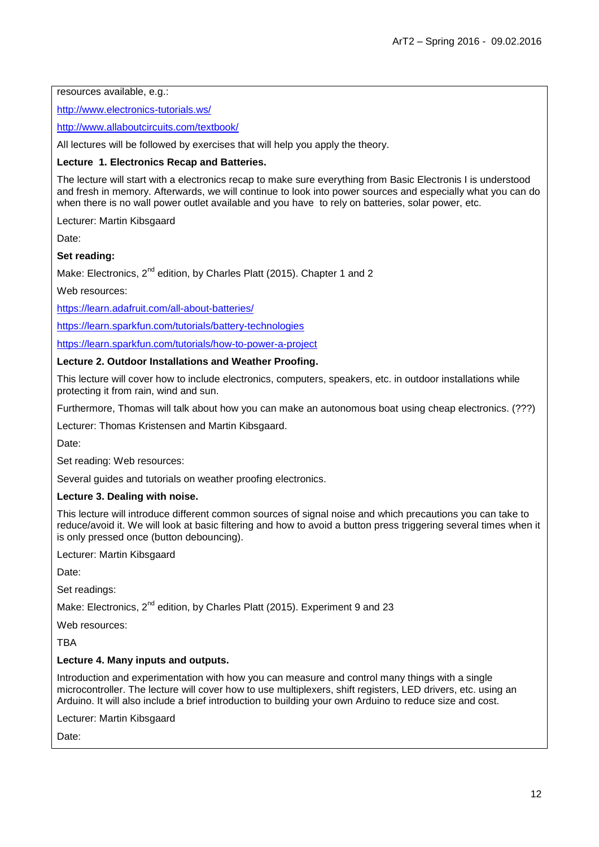resources available, e.g.:

<http://www.electronics-tutorials.ws/>

<http://www.allaboutcircuits.com/textbook/>

All lectures will be followed by exercises that will help you apply the theory.

#### **Lecture 1. Electronics Recap and Batteries.**

The lecture will start with a electronics recap to make sure everything from Basic Electronis I is understood and fresh in memory. Afterwards, we will continue to look into power sources and especially what you can do when there is no wall power outlet available and you have to rely on batteries, solar power, etc.

Lecturer: Martin Kibsgaard

Date:

#### **Set reading:**

Make: Electronics, 2<sup>nd</sup> edition, by Charles Platt (2015). Chapter 1 and 2

Web resources:

<https://learn.adafruit.com/all-about-batteries/>

<https://learn.sparkfun.com/tutorials/battery-technologies>

<https://learn.sparkfun.com/tutorials/how-to-power-a-project>

#### **Lecture 2. Outdoor Installations and Weather Proofing.**

This lecture will cover how to include electronics, computers, speakers, etc. in outdoor installations while protecting it from rain, wind and sun.

Furthermore, Thomas will talk about how you can make an autonomous boat using cheap electronics. (???)

Lecturer: Thomas Kristensen and Martin Kibsgaard.

Date:

Set reading: Web resources:

Several guides and tutorials on weather proofing electronics.

#### **Lecture 3. Dealing with noise.**

This lecture will introduce different common sources of signal noise and which precautions you can take to reduce/avoid it. We will look at basic filtering and how to avoid a button press triggering several times when it is only pressed once (button debouncing).

Lecturer: Martin Kibsgaard

Date:

Set readings:

Make: Electronics, 2<sup>nd</sup> edition, by Charles Platt (2015). Experiment 9 and 23

Web resources:

**TBA** 

#### **Lecture 4. Many inputs and outputs.**

Introduction and experimentation with how you can measure and control many things with a single microcontroller. The lecture will cover how to use multiplexers, shift registers, LED drivers, etc. using an Arduino. It will also include a brief introduction to building your own Arduino to reduce size and cost.

Lecturer: Martin Kibsgaard

Date: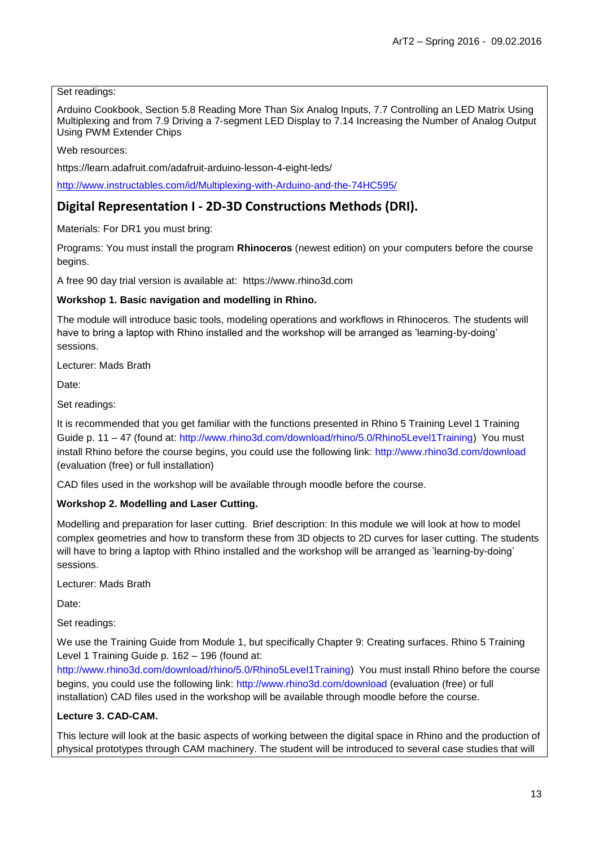#### Set readings:

Arduino Cookbook, Section 5.8 Reading More Than Six Analog Inputs, 7.7 Controlling an LED Matrix Using Multiplexing and from 7.9 Driving a 7-segment LED Display to 7.14 Increasing the Number of Analog Output Using PWM Extender Chips

Web resources:

https://learn.adafruit.com/adafruit-arduino-lesson-4-eight-leds/

<http://www.instructables.com/id/Multiplexing-with-Arduino-and-the-74HC595/>

### **Digital Representation I - 2D-3D Constructions Methods (DRI).**

Materials: For DR1 you must bring:

Programs: You must install the program **Rhinoceros** (newest edition) on your computers before the course begins.

A free 90 day trial version is available at: https://www.rhino3d.com

#### **Workshop 1. Basic navigation and modelling in Rhino.**

The module will introduce basic tools, modeling operations and workflows in Rhinoceros. The students will have to bring a laptop with Rhino installed and the workshop will be arranged as "learning-by-doing" sessions.

Lecturer: Mads Brath

Date:

Set readings:

It is recommended that you get familiar with the functions presented in Rhino 5 Training Level 1 Training Guide p. 11 – 47 (found at: http://www.rhino3d.com/download/rhino/5.0/Rhino5Level1Training) You must install Rhino before the course begins, you could use the following link: http://www.rhino3d.com/download (evaluation (free) or full installation)

CAD files used in the workshop will be available through moodle before the course.

#### **Workshop 2. Modelling and Laser Cutting.**

Modelling and preparation for laser cutting. Brief description: In this module we will look at how to model complex geometries and how to transform these from 3D objects to 2D curves for laser cutting. The students will have to bring a laptop with Rhino installed and the workshop will be arranged as 'learning-by-doing' sessions.

Lecturer: Mads Brath

Date:

Set readings:

We use the Training Guide from Module 1, but specifically Chapter 9: Creating surfaces. Rhino 5 Training Level 1 Training Guide p. 162 – 196 (found at:

http://www.rhino3d.com/download/rhino/5.0/Rhino5Level1Training) You must install Rhino before the course begins, you could use the following link: http://www.rhino3d.com/download (evaluation (free) or full installation) CAD files used in the workshop will be available through moodle before the course.

#### **Lecture 3. CAD-CAM.**

This lecture will look at the basic aspects of working between the digital space in Rhino and the production of physical prototypes through CAM machinery. The student will be introduced to several case studies that will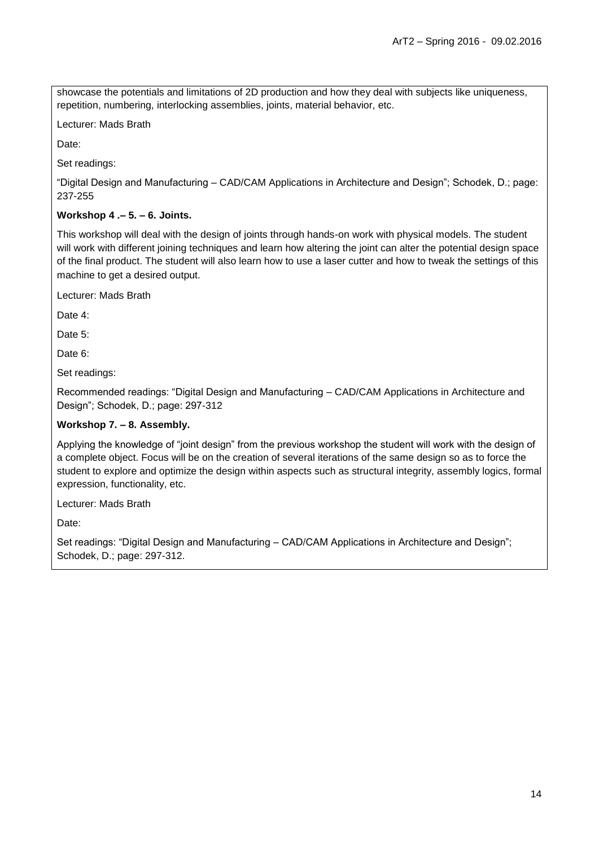showcase the potentials and limitations of 2D production and how they deal with subjects like uniqueness, repetition, numbering, interlocking assemblies, joints, material behavior, etc.

Lecturer: Mads Brath

Date:

Set readings:

"Digital Design and Manufacturing – CAD/CAM Applications in Architecture and Design"; Schodek, D.; page: 237-255

#### **Workshop 4 .– 5. – 6. Joints.**

This workshop will deal with the design of joints through hands-on work with physical models. The student will work with different joining techniques and learn how altering the joint can alter the potential design space of the final product. The student will also learn how to use a laser cutter and how to tweak the settings of this machine to get a desired output.

Lecturer: Mads Brath

Date 4:

Date 5:

Date 6:

Set readings:

Recommended readings: "Digital Design and Manufacturing – CAD/CAM Applications in Architecture and Design"; Schodek, D.; page: 297-312

#### **Workshop 7. – 8. Assembly.**

Applying the knowledge of "joint design" from the previous workshop the student will work with the design of a complete object. Focus will be on the creation of several iterations of the same design so as to force the student to explore and optimize the design within aspects such as structural integrity, assembly logics, formal expression, functionality, etc.

Lecturer: Mads Brath

Date:

Set readings: "Digital Design and Manufacturing – CAD/CAM Applications in Architecture and Design"; Schodek, D.; page: 297-312.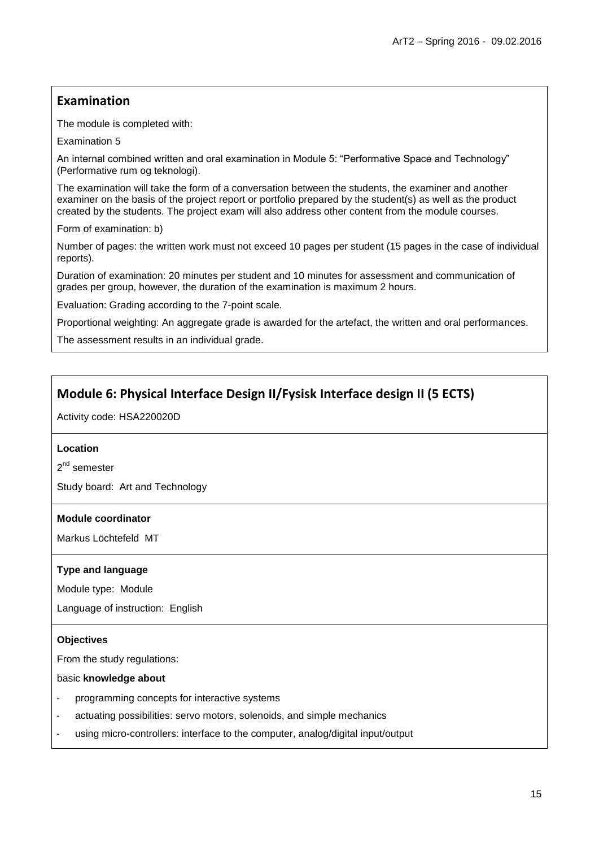## **Examination**

The module is completed with:

Examination 5

An internal combined written and oral examination in Module 5: "Performative Space and Technology" (Performative rum og teknologi).

The examination will take the form of a conversation between the students, the examiner and another examiner on the basis of the project report or portfolio prepared by the student(s) as well as the product created by the students. The project exam will also address other content from the module courses.

Form of examination: b)

Number of pages: the written work must not exceed 10 pages per student (15 pages in the case of individual reports).

Duration of examination: 20 minutes per student and 10 minutes for assessment and communication of grades per group, however, the duration of the examination is maximum 2 hours.

Evaluation: Grading according to the 7-point scale.

Proportional weighting: An aggregate grade is awarded for the artefact, the written and oral performances.

The assessment results in an individual grade.

## **Module 6: Physical Interface Design II/Fysisk Interface design II (5 ECTS)**

Activity code: HSA220020D

#### **Location**

2<sup>nd</sup> semester

Study board: Art and Technology

#### **Module coordinator**

Markus Löchtefeld MT

#### **Type and language**

Module type: Module

Language of instruction: English

#### **Objectives**

From the study regulations:

basic **knowledge about**

- programming concepts for interactive systems
- actuating possibilities: servo motors, solenoids, and simple mechanics
- using micro-controllers: interface to the computer, analog/digital input/output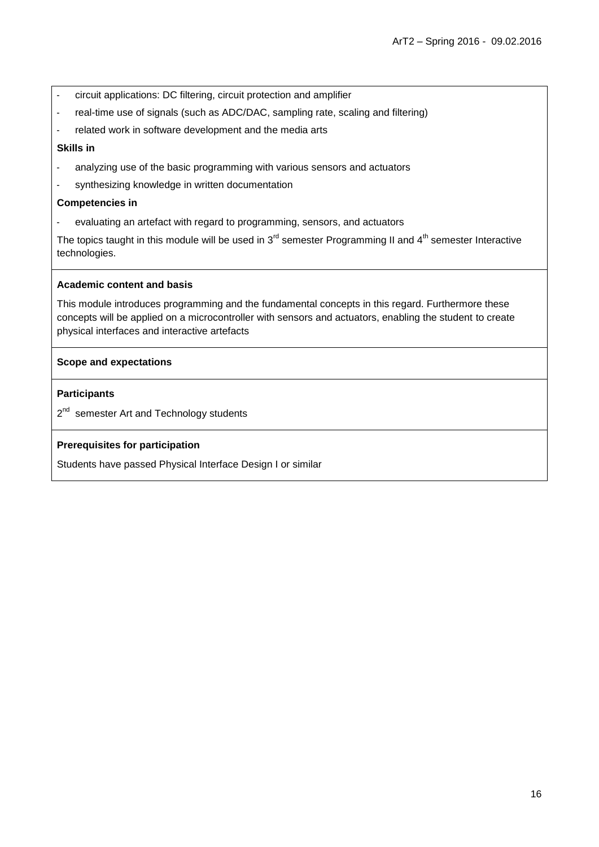- circuit applications: DC filtering, circuit protection and amplifier
- real-time use of signals (such as ADC/DAC, sampling rate, scaling and filtering)
- related work in software development and the media arts

#### **Skills in**

- analyzing use of the basic programming with various sensors and actuators
- synthesizing knowledge in written documentation

#### **Competencies in**

- evaluating an artefact with regard to programming, sensors, and actuators

The topics taught in this module will be used in  $3<sup>rd</sup>$  semester Programming II and  $4<sup>th</sup>$  semester Interactive technologies.

#### **Academic content and basis**

This module introduces programming and the fundamental concepts in this regard. Furthermore these concepts will be applied on a microcontroller with sensors and actuators, enabling the student to create physical interfaces and interactive artefacts

#### **Scope and expectations**

#### **Participants**

2<sup>nd</sup> semester Art and Technology students

#### **Prerequisites for participation**

Students have passed Physical Interface Design I or similar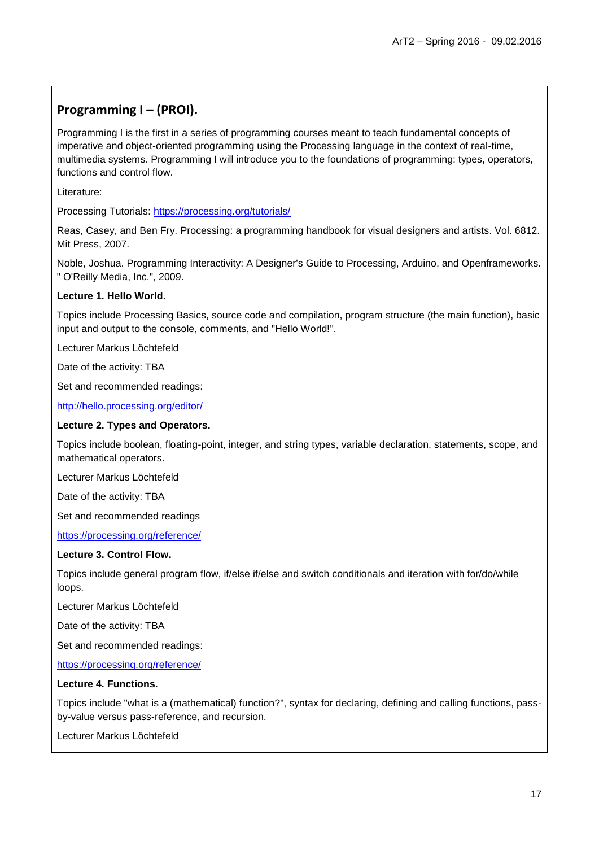## **Programming I – (PROI).**

Programming I is the first in a series of programming courses meant to teach fundamental concepts of imperative and object-oriented programming using the Processing language in the context of real-time, multimedia systems. Programming I will introduce you to the foundations of programming: types, operators, functions and control flow.

Literature:

Processing Tutorials:<https://processing.org/tutorials/>

Reas, Casey, and Ben Fry. Processing: a programming handbook for visual designers and artists. Vol. 6812. Mit Press, 2007.

Noble, Joshua. Programming Interactivity: A Designer's Guide to Processing, Arduino, and Openframeworks. " O'Reilly Media, Inc.", 2009.

#### **Lecture 1. Hello World.**

Topics include Processing Basics, source code and compilation, program structure (the main function), basic input and output to the console, comments, and "Hello World!".

Lecturer Markus Löchtefeld

Date of the activity: TBA

Set and recommended readings:

<http://hello.processing.org/editor/>

#### **Lecture 2. Types and Operators.**

Topics include boolean, floating-point, integer, and string types, variable declaration, statements, scope, and mathematical operators.

Lecturer Markus Löchtefeld

Date of the activity: TBA

Set and recommended readings

<https://processing.org/reference/>

#### **Lecture 3. Control Flow.**

Topics include general program flow, if/else if/else and switch conditionals and iteration with for/do/while loops.

Lecturer Markus Löchtefeld

Date of the activity: TBA

Set and recommended readings:

<https://processing.org/reference/>

#### **Lecture 4. Functions.**

Topics include "what is a (mathematical) function?", syntax for declaring, defining and calling functions, passby-value versus pass-reference, and recursion.

Lecturer Markus Löchtefeld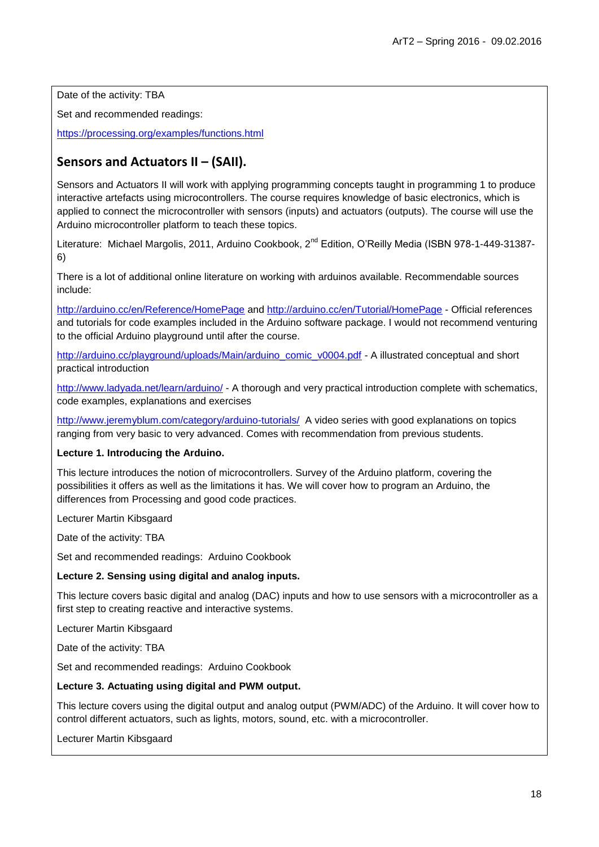Date of the activity: TBA

Set and recommended readings:

https://processing.org/examples/functions.html

## **Sensors and Actuators II – (SAII).**

Sensors and Actuators II will work with applying programming concepts taught in programming 1 to produce interactive artefacts using microcontrollers. The course requires knowledge of basic electronics, which is applied to connect the microcontroller with sensors (inputs) and actuators (outputs). The course will use the Arduino microcontroller platform to teach these topics.

Literature: Michael Margolis, 2011, Arduino Cookbook, 2<sup>nd</sup> Edition, O'Reilly Media (ISBN 978-1-449-31387-6)

There is a lot of additional online literature on working with arduinos available. Recommendable sources include:

<http://arduino.cc/en/Reference/HomePage> and<http://arduino.cc/en/Tutorial/HomePage> - Official references and tutorials for code examples included in the Arduino software package. I would not recommend venturing to the official Arduino playground until after the course.

[http://arduino.cc/playground/uploads/Main/arduino\\_comic\\_v0004.pdf](http://arduino.cc/playground/uploads/Main/arduino_comic_v0004.pdf) - A illustrated conceptual and short practical introduction

<http://www.ladyada.net/learn/arduino/> - A thorough and very practical introduction complete with schematics, code examples, explanations and exercises

<http://www.jeremyblum.com/category/arduino-tutorials/>A video series with good explanations on topics ranging from very basic to very advanced. Comes with recommendation from previous students.

#### **Lecture 1. Introducing the Arduino.**

This lecture introduces the notion of microcontrollers. Survey of the Arduino platform, covering the possibilities it offers as well as the limitations it has. We will cover how to program an Arduino, the differences from Processing and good code practices.

Lecturer Martin Kibsgaard

Date of the activity: TBA

Set and recommended readings: Arduino Cookbook

#### **Lecture 2. Sensing using digital and analog inputs.**

This lecture covers basic digital and analog (DAC) inputs and how to use sensors with a microcontroller as a first step to creating reactive and interactive systems.

Lecturer Martin Kibsgaard

Date of the activity: TBA

Set and recommended readings: Arduino Cookbook

#### **Lecture 3. Actuating using digital and PWM output.**

This lecture covers using the digital output and analog output (PWM/ADC) of the Arduino. It will cover how to control different actuators, such as lights, motors, sound, etc. with a microcontroller.

Lecturer Martin Kibsgaard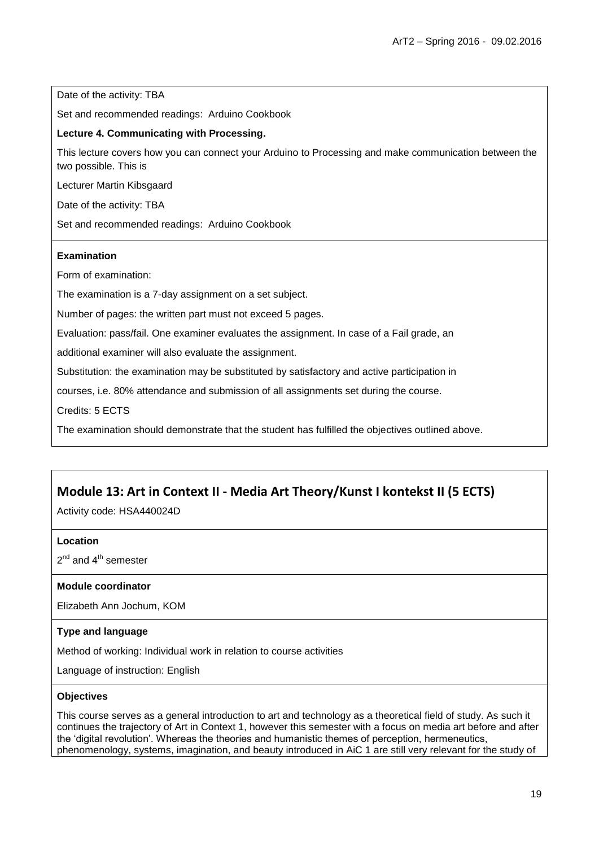Date of the activity: TBA

Set and recommended readings: Arduino Cookbook

#### **Lecture 4. Communicating with Processing.**

This lecture covers how you can connect your Arduino to Processing and make communication between the two possible. This is

Lecturer Martin Kibsgaard

Date of the activity: TBA

Set and recommended readings: Arduino Cookbook

#### **Examination**

Form of examination:

The examination is a 7-day assignment on a set subject.

Number of pages: the written part must not exceed 5 pages.

Evaluation: pass/fail. One examiner evaluates the assignment. In case of a Fail grade, an

additional examiner will also evaluate the assignment.

Substitution: the examination may be substituted by satisfactory and active participation in

courses, i.e. 80% attendance and submission of all assignments set during the course.

Credits: 5 ECTS

The examination should demonstrate that the student has fulfilled the objectives outlined above.

### **Module 13: Art in Context II - Media Art Theory/Kunst I kontekst II (5 ECTS)**

Activity code: HSA440024D

#### **Location**

 $2^{nd}$  and  $4^{th}$  semester

#### **Module coordinator**

Elizabeth Ann Jochum, KOM

#### **Type and language**

Method of working: Individual work in relation to course activities

Language of instruction: English

#### **Objectives**

This course serves as a general introduction to art and technology as a theoretical field of study. As such it continues the trajectory of Art in Context 1, however this semester with a focus on media art before and after the "digital revolution". Whereas the theories and humanistic themes of perception, hermeneutics, phenomenology, systems, imagination, and beauty introduced in AiC 1 are still very relevant for the study of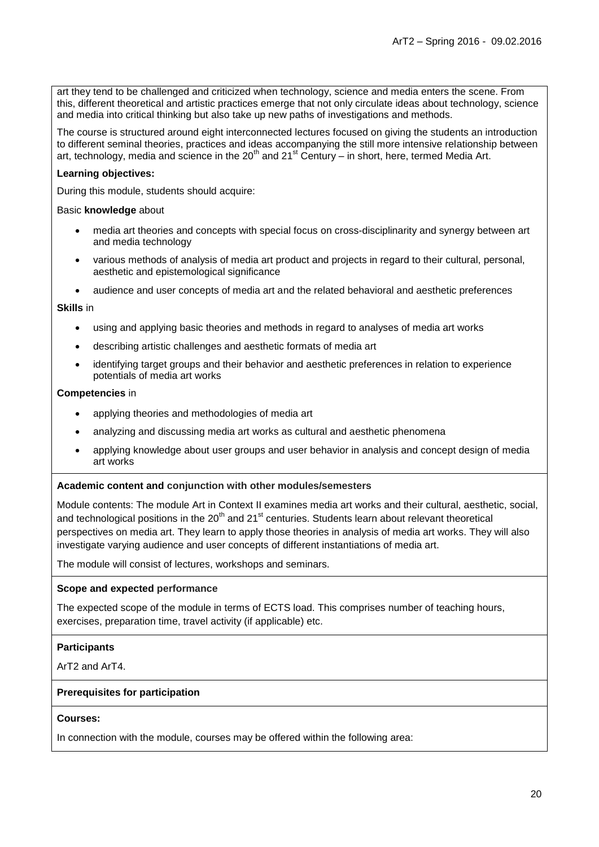art they tend to be challenged and criticized when technology, science and media enters the scene. From this, different theoretical and artistic practices emerge that not only circulate ideas about technology, science and media into critical thinking but also take up new paths of investigations and methods.

The course is structured around eight interconnected lectures focused on giving the students an introduction to different seminal theories, practices and ideas accompanying the still more intensive relationship between art, technology, media and science in the 20<sup>th</sup> and 21<sup>st</sup> Century – in short, here, termed Media Art.

#### **Learning objectives:**

During this module, students should acquire:

#### Basic **knowledge** about

- media art theories and concepts with special focus on cross-disciplinarity and synergy between art and media technology
- various methods of analysis of media art product and projects in regard to their cultural, personal, aesthetic and epistemological significance
- audience and user concepts of media art and the related behavioral and aesthetic preferences

#### **Skills** in

- using and applying basic theories and methods in regard to analyses of media art works
- describing artistic challenges and aesthetic formats of media art
- identifying target groups and their behavior and aesthetic preferences in relation to experience potentials of media art works

#### **Competencies** in

- applying theories and methodologies of media art
- analyzing and discussing media art works as cultural and aesthetic phenomena
- applying knowledge about user groups and user behavior in analysis and concept design of media art works

#### **Academic content and conjunction with other modules/semesters**

Module contents: The module Art in Context II examines media art works and their cultural, aesthetic, social, and technological positions in the  $20<sup>th</sup>$  and  $21<sup>st</sup>$  centuries. Students learn about relevant theoretical perspectives on media art. They learn to apply those theories in analysis of media art works. They will also investigate varying audience and user concepts of different instantiations of media art.

The module will consist of lectures, workshops and seminars.

#### **Scope and expected performance**

The expected scope of the module in terms of ECTS load. This comprises number of teaching hours, exercises, preparation time, travel activity (if applicable) etc.

#### **Participants**

ArT2 and ArT4.

#### **Prerequisites for participation**

#### **Courses:**

In connection with the module, courses may be offered within the following area: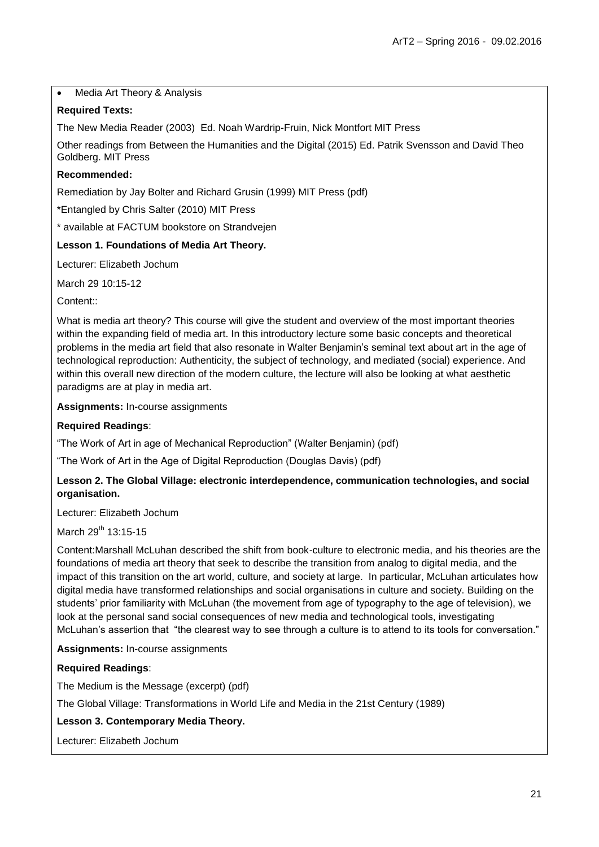#### • Media Art Theory & Analysis

#### **Required Texts:**

The New Media Reader (2003) Ed. Noah Wardrip-Fruin, Nick Montfort MIT Press

Other readings from Between the Humanities and the Digital (2015) Ed. Patrik Svensson and David Theo Goldberg. MIT Press

#### **Recommended:**

Remediation by Jay Bolter and Richard Grusin (1999) MIT Press (pdf)

\*Entangled by Chris Salter (2010) MIT Press

\* available at FACTUM bookstore on Strandvejen

#### **Lesson 1. Foundations of Media Art Theory.**

Lecturer: Elizabeth Jochum

March 29 10:15-12

Content<sup>::</sup>

What is media art theory? This course will give the student and overview of the most important theories within the expanding field of media art. In this introductory lecture some basic concepts and theoretical problems in the media art field that also resonate in Walter Benjamin"s seminal text about art in the age of technological reproduction: Authenticity, the subject of technology, and mediated (social) experience. And within this overall new direction of the modern culture, the lecture will also be looking at what aesthetic paradigms are at play in media art.

**Assignments:** In-course assignments

#### **Required Readings**:

"The Work of Art in age of Mechanical Reproduction" (Walter Benjamin) (pdf)

"The Work of Art in the Age of Digital Reproduction (Douglas Davis) (pdf)

#### **Lesson 2. The Global Village: electronic interdependence, communication technologies, and social organisation.**

Lecturer: Elizabeth Jochum

March  $29^{th}$  13:15-15

Content:Marshall McLuhan described the shift from book-culture to electronic media, and his theories are the foundations of media art theory that seek to describe the transition from analog to digital media, and the impact of this transition on the art world, culture, and society at large. In particular, McLuhan articulates how digital media have transformed relationships and social organisations in culture and society. Building on the students" prior familiarity with McLuhan (the movement from age of typography to the age of television), we look at the personal sand social consequences of new media and technological tools, investigating McLuhan's assertion that "the clearest way to see through a culture is to attend to its tools for conversation."

**Assignments:** In-course assignments

#### **Required Readings**:

The Medium is the Message (excerpt) (pdf)

The Global Village: Transformations in World Life and Media in the 21st Century (1989)

#### **Lesson 3. Contemporary Media Theory.**

Lecturer: Elizabeth Jochum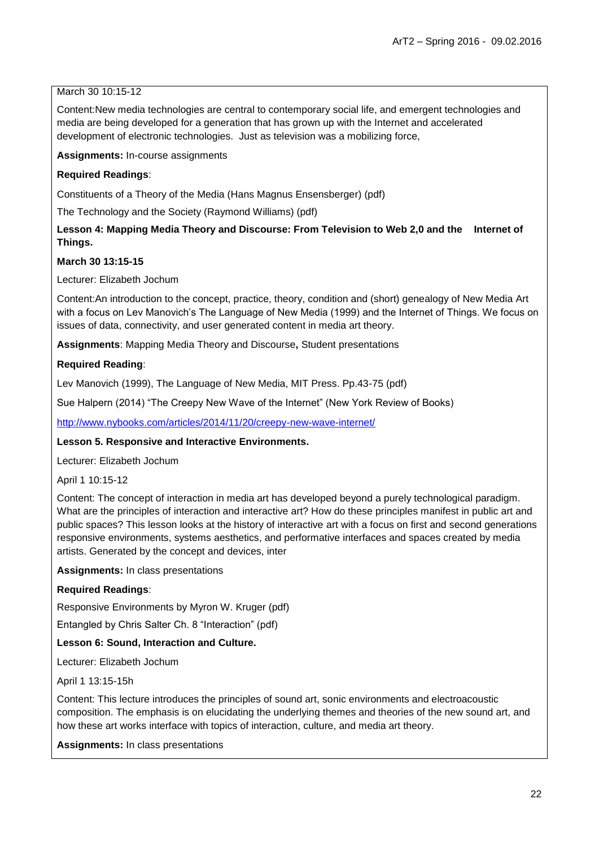#### March 30 10:15-12

Content:New media technologies are central to contemporary social life, and emergent technologies and media are being developed for a generation that has grown up with the Internet and accelerated development of electronic technologies. Just as television was a mobilizing force,

**Assignments:** In-course assignments

#### **Required Readings**:

Constituents of a Theory of the Media (Hans Magnus Ensensberger) (pdf)

The Technology and the Society (Raymond Williams) (pdf)

#### Lesson 4: Mapping Media Theory and Discourse: From Television to Web 2,0 and the Internet of **Things.**

#### **March 30 13:15-15**

Lecturer: Elizabeth Jochum

Content:An introduction to the concept, practice, theory, condition and (short) genealogy of New Media Art with a focus on Lev Manovich"s The Language of New Media (1999) and the Internet of Things. We focus on issues of data, connectivity, and user generated content in media art theory.

**Assignments**: Mapping Media Theory and Discourse**,** Student presentations

#### **Required Reading**:

Lev Manovich (1999), The Language of New Media, MIT Press. Pp.43-75 (pdf)

Sue Halpern (2014) "The Creepy New Wave of the Internet" (New York Review of Books)

<http://www.nybooks.com/articles/2014/11/20/creepy-new-wave-internet/>

#### **Lesson 5. Responsive and Interactive Environments.**

Lecturer: Elizabeth Jochum

April 1 10:15-12

Content: The concept of interaction in media art has developed beyond a purely technological paradigm. What are the principles of interaction and interactive art? How do these principles manifest in public art and public spaces? This lesson looks at the history of interactive art with a focus on first and second generations responsive environments, systems aesthetics, and performative interfaces and spaces created by media artists. Generated by the concept and devices, inter

**Assignments:** In class presentations

#### **Required Readings**:

Responsive Environments by Myron W. Kruger (pdf)

Entangled by Chris Salter Ch. 8 "Interaction" (pdf)

#### **Lesson 6: Sound, Interaction and Culture.**

Lecturer: Elizabeth Jochum

April 1 13:15-15h

Content: This lecture introduces the principles of sound art, sonic environments and electroacoustic composition. The emphasis is on elucidating the underlying themes and theories of the new sound art, and how these art works interface with topics of interaction, culture, and media art theory.

**Assignments:** In class presentations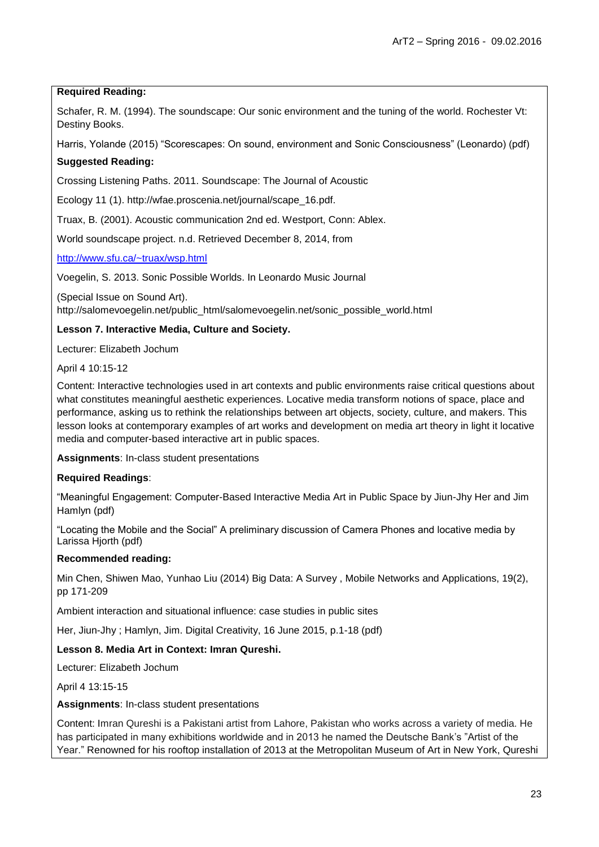#### **Required Reading:**

Schafer, R. M. (1994). The soundscape: Our sonic environment and the tuning of the world. Rochester Vt: Destiny Books.

Harris, Yolande (2015) "Scorescapes: On sound, environment and Sonic Consciousness" (Leonardo) (pdf)

#### **Suggested Reading:**

Crossing Listening Paths. 2011. Soundscape: The Journal of Acoustic

Ecology 11 (1). http://wfae.proscenia.net/journal/scape\_16.pdf.

Truax, B. (2001). Acoustic communication 2nd ed. Westport, Conn: Ablex.

World soundscape project. n.d. Retrieved December 8, 2014, from

<http://www.sfu.ca/~truax/wsp.html>

Voegelin, S. 2013. Sonic Possible Worlds. In Leonardo Music Journal

(Special Issue on Sound Art). http://salomevoegelin.net/public\_html/salomevoegelin.net/sonic\_possible\_world.html

#### **Lesson 7. Interactive Media, Culture and Society.**

Lecturer: Elizabeth Jochum

April 4 10:15-12

Content: Interactive technologies used in art contexts and public environments raise critical questions about what constitutes meaningful aesthetic experiences. Locative media transform notions of space, place and performance, asking us to rethink the relationships between art objects, society, culture, and makers. This lesson looks at contemporary examples of art works and development on media art theory in light it locative media and computer-based interactive art in public spaces.

**Assignments**: In-class student presentations

#### **Required Readings**:

"Meaningful Engagement: Computer-Based Interactive Media Art in Public Space by Jiun-Jhy Her and Jim Hamlyn (pdf)

"Locating the Mobile and the Social" A preliminary discussion of Camera Phones and locative media by Larissa Hjorth (pdf)

#### **Recommended reading:**

Min Chen, Shiwen Mao, Yunhao Liu (2014) Big Data: A Survey , Mobile Networks and Applications, 19(2), pp 171-209

[Ambient interaction and situational influence: case studies in public sites](http://sfx.aub.aau.dk/sfxaub?frbrVersion=3&ctx_ver=Z39.88-2004&ctx_enc=info:ofi/enc:UTF-8&ctx_tim=2016-01-07T10%253A02%253A23IST&url_ver=Z39.88-2004&url_ctx_fmt=info:ofi/fmt:kev:mtx:ctx&rfr_id=info:sid/primo.exlibrisgroup.com:primo3-Article-tayfranc&rft_val_fmt=info:ofi/fmt:kev:mtx:journal&rft.genre=article&rft.atitle=Ambient%20interaction%20and%20situational%20influence:%20case%20studies%20in%20public%20sites&rft.jtitle=Digital%20Creativity&rft.btitle=&rft.aulast=Her&rft.auinit=J&rft.auinit1=J&rft.auinitm=&rft)

Her, Jiun-Jhy ; Hamlyn, Jim. Digital Creativity, 16 June 2015, p.1-18 (pdf)

#### **Lesson 8. Media Art in Context: Imran Qureshi.**

Lecturer: Elizabeth Jochum

April 4 13:15-15

**Assignments**: In-class student presentations

Content: Imran Qureshi is a Pakistani artist from Lahore, Pakistan who works across a variety of media. He has participated in many exhibitions worldwide and in 2013 he named the Deutsche Bank's "Artist of the Year." Renowned for his rooftop installation of 2013 at the Metropolitan Museum of Art in New York, Qureshi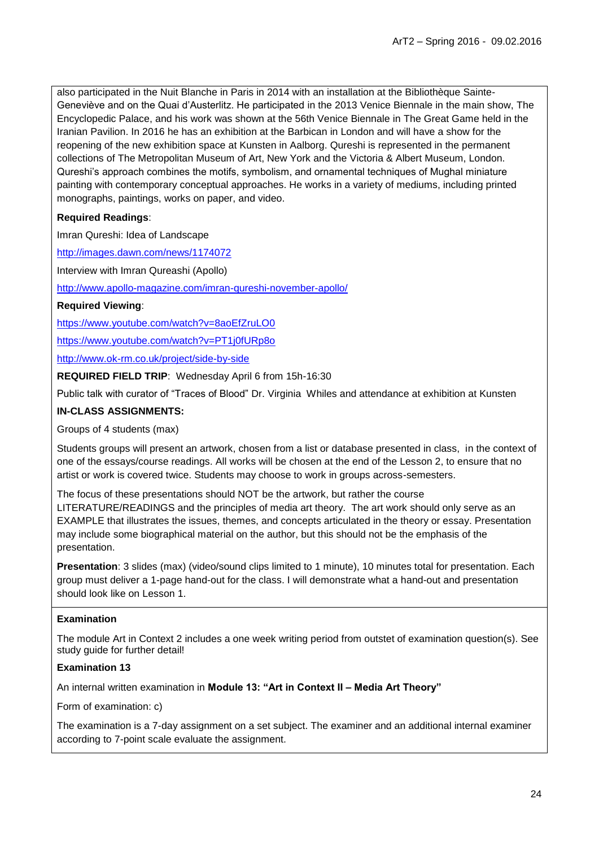also participated in the Nuit Blanche in Paris in 2014 with an installation at the Bibliothèque Sainte-Geneviève and on the Quai d"Austerlitz. He participated in the 2013 Venice Biennale in the main show, The Encyclopedic Palace, and his work was shown at the 56th Venice Biennale in The Great Game held in the Iranian Pavilion. In 2016 he has an exhibition at the Barbican in London and will have a show for the reopening of the new exhibition space at Kunsten in Aalborg. Qureshi is represented in the permanent collections of The Metropolitan Museum of Art, New York and the Victoria & Albert Museum, London. Qureshi"s approach combines the motifs, symbolism, and ornamental techniques of Mughal miniature painting with contemporary conceptual approaches. He works in a variety of mediums, including printed monographs, paintings, works on paper, and video.

#### **Required Readings**:

Imran Qureshi: Idea of Landscape

<http://images.dawn.com/news/1174072>

Interview with Imran Qureashi (Apollo)

<http://www.apollo-magazine.com/imran-qureshi-november-apollo/>

**Required Viewing**:

<https://www.youtube.com/watch?v=8aoEfZruLO0>

<https://www.youtube.com/watch?v=PT1j0fURp8o>

<http://www.ok-rm.co.uk/project/side-by-side>

**REQUIRED FIELD TRIP**: Wednesday April 6 from 15h-16:30

Public talk with curator of "Traces of Blood" Dr. Virginia Whiles and attendance at exhibition at Kunsten

#### **IN-CLASS ASSIGNMENTS:**

Groups of 4 students (max)

Students groups will present an artwork, chosen from a list or database presented in class, in the context of one of the essays/course readings. All works will be chosen at the end of the Lesson 2, to ensure that no artist or work is covered twice. Students may choose to work in groups across-semesters.

The focus of these presentations should NOT be the artwork, but rather the course

LITERATURE/READINGS and the principles of media art theory. The art work should only serve as an EXAMPLE that illustrates the issues, themes, and concepts articulated in the theory or essay. Presentation may include some biographical material on the author, but this should not be the emphasis of the presentation.

**Presentation**: 3 slides (max) (video/sound clips limited to 1 minute), 10 minutes total for presentation. Each group must deliver a 1-page hand-out for the class. I will demonstrate what a hand-out and presentation should look like on Lesson 1.

#### **Examination**

The module Art in Context 2 includes a one week writing period from outstet of examination question(s). See study guide for further detail!

#### **Examination 13**

An internal written examination in **Module 13: "Art in Context II – Media Art Theory"**

Form of examination: c)

The examination is a 7-day assignment on a set subject. The examiner and an additional internal examiner according to 7-point scale evaluate the assignment.